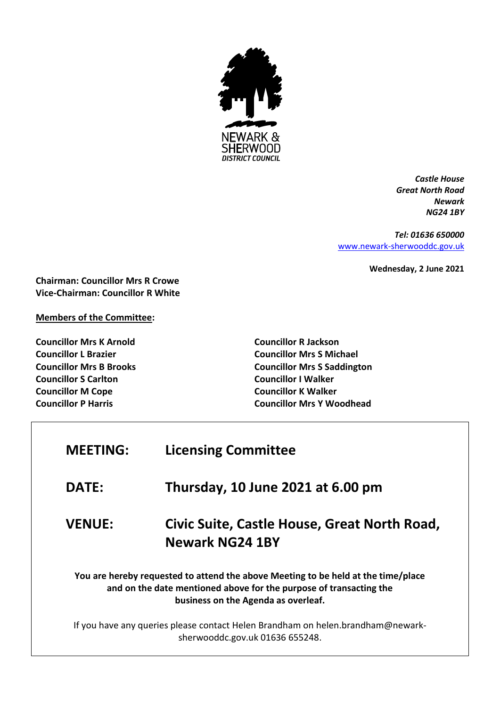

*Castle House Great North Road Newark NG24 1BY*

*Tel: 01636 650000* [www.newark-sherwooddc.gov.uk](http://www.newark-sherwooddc.gov.uk/)

**Wednesday, 2 June 2021**

**Chairman: Councillor Mrs R Crowe Vice-Chairman: Councillor R White**

**Members of the Committee:**

**Councillor Mrs K Arnold Councillor L Brazier Councillor Mrs B Brooks Councillor S Carlton Councillor M Cope Councillor P Harris**

 $\overline{1}$ 

**Councillor R Jackson Councillor Mrs S Michael Councillor Mrs S Saddington Councillor I Walker Councillor K Walker Councillor Mrs Y Woodhead**

| <b>MEETING:</b> | <b>Licensing Committee</b>                                                                                                                                                                     |
|-----------------|------------------------------------------------------------------------------------------------------------------------------------------------------------------------------------------------|
| <b>DATE:</b>    | Thursday, 10 June 2021 at 6.00 pm                                                                                                                                                              |
| <b>VENUE:</b>   | Civic Suite, Castle House, Great North Road,<br><b>Newark NG24 1BY</b>                                                                                                                         |
|                 | You are hereby requested to attend the above Meeting to be held at the time/place<br>and on the date mentioned above for the purpose of transacting the<br>business on the Agenda as overleaf. |
|                 | If you have any queries please contact Helen Brandham on helen.brandham@newark-<br>sherwooddc.gov.uk 01636 655248.                                                                             |